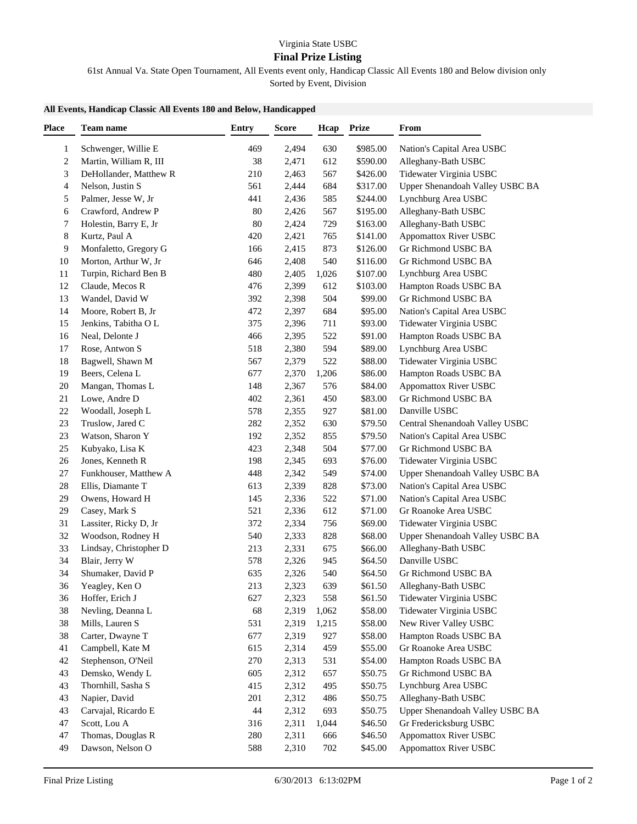## **Final Prize Listing**

61st Annual Va. State Open Tournament, All Events event only, Handicap Classic All Events 180 and Below division only Sorted by Event, Division

## **All Events, Handicap Classic All Events 180 and Below, Handicapped**

| <b>Place</b>   | Team name              | <b>Entry</b> | <b>Score</b> | Hcap  | <b>Prize</b> | From                            |
|----------------|------------------------|--------------|--------------|-------|--------------|---------------------------------|
| 1              | Schwenger, Willie E    | 469          | 2,494        | 630   | \$985.00     | Nation's Capital Area USBC      |
| $\overline{c}$ | Martin, William R, III | 38           | 2,471        | 612   | \$590.00     | Alleghany-Bath USBC             |
| 3              | DeHollander, Matthew R | 210          | 2,463        | 567   | \$426.00     | Tidewater Virginia USBC         |
| 4              | Nelson, Justin S       | 561          | 2,444        | 684   | \$317.00     | Upper Shenandoah Valley USBC BA |
| 5              | Palmer, Jesse W, Jr    | 441          | 2,436        | 585   | \$244.00     | Lynchburg Area USBC             |
| 6              | Crawford, Andrew P     | 80           | 2,426        | 567   | \$195.00     | Alleghany-Bath USBC             |
| 7              | Holestin, Barry E, Jr  | 80           | 2,424        | 729   | \$163.00     | Alleghany-Bath USBC             |
| 8              | Kurtz, Paul A          | 420          | 2,421        | 765   | \$141.00     | Appomattox River USBC           |
| 9              | Monfaletto, Gregory G  | 166          | 2,415        | 873   | \$126.00     | Gr Richmond USBC BA             |
| 10             | Morton, Arthur W, Jr   | 646          | 2,408        | 540   | \$116.00     | Gr Richmond USBC BA             |
| 11             | Turpin, Richard Ben B  | 480          | 2,405        | 1,026 | \$107.00     | Lynchburg Area USBC             |
| 12             | Claude, Mecos R        | 476          | 2,399        | 612   | \$103.00     | Hampton Roads USBC BA           |
| 13             | Wandel, David W        | 392          | 2,398        | 504   | \$99.00      | Gr Richmond USBC BA             |
| 14             | Moore, Robert B, Jr    | 472          | 2,397        | 684   | \$95.00      | Nation's Capital Area USBC      |
| 15             | Jenkins, Tabitha O L   | 375          | 2,396        | 711   | \$93.00      | Tidewater Virginia USBC         |
| 16             | Neal, Delonte J        | 466          | 2,395        | 522   | \$91.00      | Hampton Roads USBC BA           |
| 17             | Rose, Antwon S         | 518          | 2,380        | 594   | \$89.00      | Lynchburg Area USBC             |
| 18             | Bagwell, Shawn M       | 567          | 2,379        | 522   | \$88.00      | Tidewater Virginia USBC         |
| 19             | Beers, Celena L        | 677          | 2,370        | 1,206 | \$86.00      | Hampton Roads USBC BA           |
| 20             | Mangan, Thomas L       | 148          | 2,367        | 576   | \$84.00      | Appomattox River USBC           |
| 21             | Lowe, Andre D          | 402          | 2,361        | 450   | \$83.00      | Gr Richmond USBC BA             |
| $22\,$         | Woodall, Joseph L      | 578          | 2,355        | 927   | \$81.00      | Danville USBC                   |
| 23             | Truslow, Jared C       | 282          | 2,352        | 630   | \$79.50      | Central Shenandoah Valley USBC  |
| 23             | Watson, Sharon Y       | 192          | 2,352        | 855   | \$79.50      | Nation's Capital Area USBC      |
| 25             | Kubyako, Lisa K        | 423          | 2,348        | 504   | \$77.00      | Gr Richmond USBC BA             |
| $26\,$         | Jones, Kenneth R       | 198          | 2,345        | 693   | \$76.00      | Tidewater Virginia USBC         |
| 27             | Funkhouser, Matthew A  | 448          | 2,342        | 549   | \$74.00      | Upper Shenandoah Valley USBC BA |
| 28             | Ellis, Diamante T      | 613          | 2,339        | 828   | \$73.00      | Nation's Capital Area USBC      |
| 29             | Owens, Howard H        | 145          | 2,336        | 522   | \$71.00      | Nation's Capital Area USBC      |
| 29             | Casey, Mark S          | 521          | 2,336        | 612   | \$71.00      | Gr Roanoke Area USBC            |
| 31             | Lassiter, Ricky D, Jr  | 372          | 2,334        | 756   | \$69.00      | Tidewater Virginia USBC         |
| 32             | Woodson, Rodney H      | 540          | 2,333        | 828   | \$68.00      | Upper Shenandoah Valley USBC BA |
| 33             | Lindsay, Christopher D | 213          | 2,331        | 675   | \$66.00      | Alleghany-Bath USBC             |
| 34             | Blair, Jerry W         | 578          | 2,326        | 945   | \$64.50      | Danville USBC                   |
| 34             | Shumaker, David P      | 635          | 2,326        | 540   | \$64.50      | Gr Richmond USBC BA             |
| 36             | Yeagley, Ken O         | 213          | 2,323        | 639   | \$61.50      | Alleghany-Bath USBC             |
| 36             | Hoffer, Erich J        | 627          | 2,323        | 558   | \$61.50      | Tidewater Virginia USBC         |
| 38             | Nevling, Deanna L      | 68           | 2,319        | 1,062 | \$58.00      | Tidewater Virginia USBC         |
| 38             | Mills, Lauren S        | 531          | 2,319        | 1,215 | \$58.00      | New River Valley USBC           |
| 38             | Carter, Dwayne T       | 677          | 2,319        | 927   | \$58.00      | Hampton Roads USBC BA           |
| 41             | Campbell, Kate M       | 615          | 2,314        | 459   | \$55.00      | Gr Roanoke Area USBC            |
| $42\,$         | Stephenson, O'Neil     | 270          | 2,313        | 531   | \$54.00      | Hampton Roads USBC BA           |
| 43             | Demsko, Wendy L        | 605          | 2,312        | 657   | \$50.75      | Gr Richmond USBC BA             |
| 43             | Thornhill, Sasha S     | 415          | 2,312        | 495   | \$50.75      | Lynchburg Area USBC             |
| 43             | Napier, David          | 201          | 2,312        | 486   | \$50.75      | Alleghany-Bath USBC             |
| 43             | Carvajal, Ricardo E    | 44           | 2,312        | 693   | \$50.75      | Upper Shenandoah Valley USBC BA |
| 47             | Scott, Lou A           | 316          | 2,311        | 1,044 | \$46.50      | Gr Fredericksburg USBC          |
| 47             | Thomas, Douglas R      | 280          | 2,311        | 666   | \$46.50      | Appomattox River USBC           |
| 49             | Dawson, Nelson O       | 588          | 2,310        | 702   | \$45.00      | Appomattox River USBC           |
|                |                        |              |              |       |              |                                 |